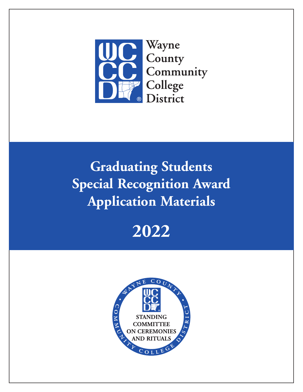

# **Graduating Students Special Recognition Award Application Materials**



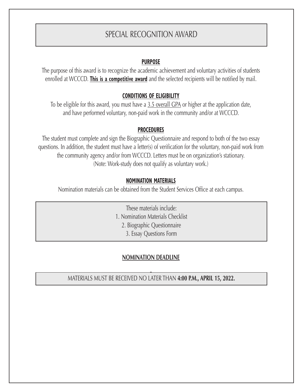### SPECIAL RECOGNITION AWARD

#### **PURPOSE**

The purpose of this award is to recognize the academic achievement and voluntary activities of students enrolled at WCCCD. **This is a competitive award** and the selected recipients will be notified by mail.

#### **CONDITIONS OF ELIGIBILITY**

To be eligible for this award, you must have a 3.5 overall GPA or higher at the application date, and have performed voluntary, non-paid work in the community and/or at WCCCD.

#### **PROCEDURES**

The student must complete and sign the Biographic Questionnaire and respond to both of the two essay questions. In addition, the student must have a letter(s) of verification for the voluntary, non-paid work from the community agency and/or from WCCCD. Letters must be on organization's stationary. (Note: Work-study does not qualify as voluntary work.)

#### **NOMINATION MATERIALS**

Nomination materials can be obtained from the Student Services Office at each campus.

These materials include: 1. Nomination Materials Checklist 2. Biographic Questionnaire 3. Essay Questions Form

#### **NOMINATION DEADLINE**

5 MATERIALS MUST BE RECEIVED NO LATER THAN **4:00 P.M., APRIL 15, 2022.**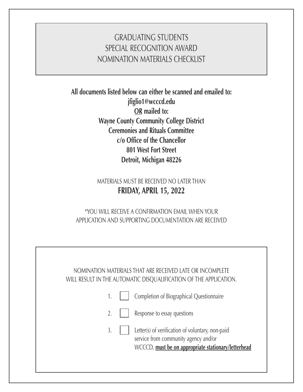### GRADUATING STUDENTS SPECIAL RECOGNITION AWARD NOMINATION MATERIALS CHECKLIST

**All documents listed below can either be scanned and emailed to: jfiglio1@wcccd.edu OR mailed to: Wayne County Community College District Ceremonies and Rituals Committee c/o Office of the Chancellor 801 West Fort Street Detroit, Michigan 48226**

> MATERIALS MUST BE RECEIVED NO LATER THAN **FRIDAY, APRIL 15, 2022**

\*YOU WILL RECEIVE A CONFIRMATION EMAIL WHEN YOUR APPLICATION AND SUPPORTING DOCUMENTATION ARE RECEIVED

| NOMINATION MATERIALS THAT ARE RECEIVED LATE OR INCOMPLETE<br>WILL RESULT IN THE AUTOMATIC DISQUALIFICATION OF THE APPLICATION.                                      |
|---------------------------------------------------------------------------------------------------------------------------------------------------------------------|
| Completion of Biographical Questionnaire                                                                                                                            |
| $\overline{2}$ .<br>Response to essay questions                                                                                                                     |
| $\overline{3}$ .<br>Letter(s) of verification of voluntary, non-paid<br>service from community agency and/or<br>WCCCD, must be on appropriate stationary/letterhead |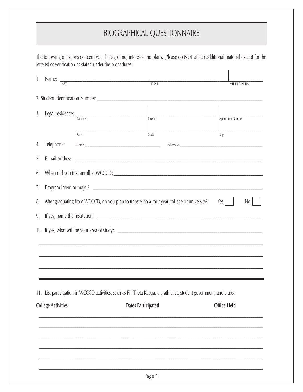## BIOGRAPHICAL QUESTIONNAIRE

|     |                                                                                                                     | letter(s) of verification as stated under the procedures.) |                                                                                                                 | The following questions concern your background, interests and plans. (Please do NOT attach additional material except for the |  |  |  |
|-----|---------------------------------------------------------------------------------------------------------------------|------------------------------------------------------------|-----------------------------------------------------------------------------------------------------------------|--------------------------------------------------------------------------------------------------------------------------------|--|--|--|
| 1.  |                                                                                                                     | Name: $\frac{1}{1451}$                                     | FIRST                                                                                                           | <b>MIDDLE INITIAL</b>                                                                                                          |  |  |  |
|     |                                                                                                                     |                                                            |                                                                                                                 |                                                                                                                                |  |  |  |
| 3.  |                                                                                                                     | Legal residence: Number                                    | $\frac{1}{\text{Street}}$                                                                                       | Apartment Number                                                                                                               |  |  |  |
|     |                                                                                                                     | City                                                       | State                                                                                                           | Zip                                                                                                                            |  |  |  |
| 4.  | Telephone:                                                                                                          |                                                            |                                                                                                                 |                                                                                                                                |  |  |  |
| 5.  | E-mail Address:                                                                                                     |                                                            |                                                                                                                 |                                                                                                                                |  |  |  |
| 6.  |                                                                                                                     |                                                            |                                                                                                                 |                                                                                                                                |  |  |  |
| 7.  |                                                                                                                     |                                                            |                                                                                                                 |                                                                                                                                |  |  |  |
| 8.  | After graduating from WCCCD, do you plan to transfer to a four year college or university?<br>Yes<br>N <sub>0</sub> |                                                            |                                                                                                                 |                                                                                                                                |  |  |  |
| 9.  |                                                                                                                     |                                                            |                                                                                                                 |                                                                                                                                |  |  |  |
|     |                                                                                                                     |                                                            |                                                                                                                 |                                                                                                                                |  |  |  |
|     |                                                                                                                     |                                                            |                                                                                                                 |                                                                                                                                |  |  |  |
|     |                                                                                                                     |                                                            |                                                                                                                 |                                                                                                                                |  |  |  |
|     |                                                                                                                     |                                                            |                                                                                                                 |                                                                                                                                |  |  |  |
| 11. |                                                                                                                     |                                                            | List participation in WCCCD activities, such as Phi Theta Kappa, art, athletics, student government, and clubs: |                                                                                                                                |  |  |  |
|     | <b>College Activities</b>                                                                                           |                                                            | <b>Dates Participated</b>                                                                                       | <b>Office Held</b>                                                                                                             |  |  |  |
|     |                                                                                                                     |                                                            |                                                                                                                 |                                                                                                                                |  |  |  |
|     |                                                                                                                     |                                                            |                                                                                                                 |                                                                                                                                |  |  |  |
|     |                                                                                                                     |                                                            |                                                                                                                 |                                                                                                                                |  |  |  |
|     |                                                                                                                     |                                                            |                                                                                                                 |                                                                                                                                |  |  |  |
|     |                                                                                                                     |                                                            | Page 1                                                                                                          |                                                                                                                                |  |  |  |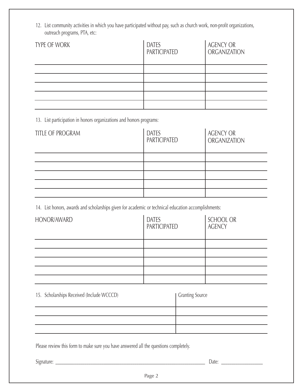12. List community activities in which you have participated without pay, such as church work, non-profit organizations, outreach programs, PTA, etc:

| TYPE OF WORK | <b>DATES</b><br>PARTICIPATED | <b>AGENCY OR</b><br><b>ORGANIZATION</b> |
|--------------|------------------------------|-----------------------------------------|
|              |                              |                                         |
|              |                              |                                         |
|              |                              |                                         |
|              |                              |                                         |
|              |                              |                                         |

13. List participation in honors organizations and honors programs:

| TITLE OF PROGRAM | <b>DATES</b><br>PARTICIPATED | <b>AGENCY OR</b><br>ORGANIZATION |
|------------------|------------------------------|----------------------------------|
|                  |                              |                                  |
|                  |                              |                                  |
|                  |                              |                                  |
|                  |                              |                                  |
|                  |                              |                                  |

14. List honors, awards and scholarships given for academic or technical education accomplishments:

| <b>HONOR/AWARD</b> | <b>DATES</b><br>PARTICIPATED | <b>SCHOOL OR</b><br><b>AGENCY</b> |
|--------------------|------------------------------|-----------------------------------|
|                    |                              |                                   |
|                    |                              |                                   |
|                    |                              |                                   |
|                    |                              |                                   |
|                    |                              |                                   |

| 15. Scholarships Received (Include WCCCD) | Granting Source |
|-------------------------------------------|-----------------|
|                                           |                 |
|                                           |                 |
|                                           |                 |
|                                           |                 |

Please review this form to make sure you have answered all the questions completely.

Signature: \_\_\_\_\_\_\_\_\_\_\_\_\_\_\_\_\_\_\_\_\_\_\_\_\_\_\_\_\_\_\_\_\_\_\_\_\_\_\_\_\_\_\_\_\_\_\_\_\_\_\_\_\_\_\_\_\_\_\_\_\_\_\_\_\_\_\_\_\_\_\_\_ Date: \_\_\_\_\_\_\_\_\_\_\_\_\_\_\_\_\_\_\_\_